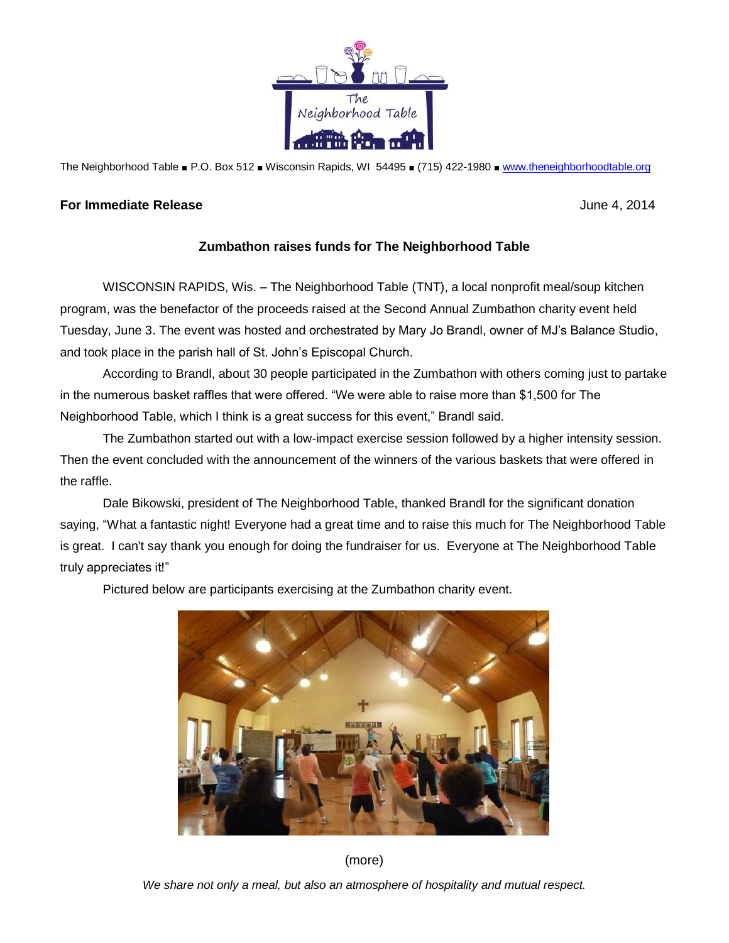

The Neighborhood Table ■ P.O. Box 512 ■ Wisconsin Rapids, WI 54495 ■ (715) 422-1980 ■ [www.theneighborhoodtable.org](http://www.theneighborhoodtable.org/)

## **For Immediate Release** June 4, 2014

## **Zumbathon raises funds for The Neighborhood Table**

WISCONSIN RAPIDS, Wis. – The Neighborhood Table (TNT), a local nonprofit meal/soup kitchen program, was the benefactor of the proceeds raised at the Second Annual Zumbathon charity event held Tuesday, June 3. The event was hosted and orchestrated by Mary Jo Brandl, owner of MJ's Balance Studio, and took place in the parish hall of St. John's Episcopal Church.

According to Brandl, about 30 people participated in the Zumbathon with others coming just to partake in the numerous basket raffles that were offered. "We were able to raise more than \$1,500 for The Neighborhood Table, which I think is a great success for this event," Brandl said.

The Zumbathon started out with a low-impact exercise session followed by a higher intensity session. Then the event concluded with the announcement of the winners of the various baskets that were offered in the raffle.

Dale Bikowski, president of The Neighborhood Table, thanked Brandl for the significant donation saying, "What a fantastic night! Everyone had a great time and to raise this much for The Neighborhood Table is great. I can't say thank you enough for doing the fundraiser for us. Everyone at The Neighborhood Table truly appreciates it!"

Pictured below are participants exercising at the Zumbathon charity event.



(more)

*We share not only a meal, but also an atmosphere of hospitality and mutual respect.*